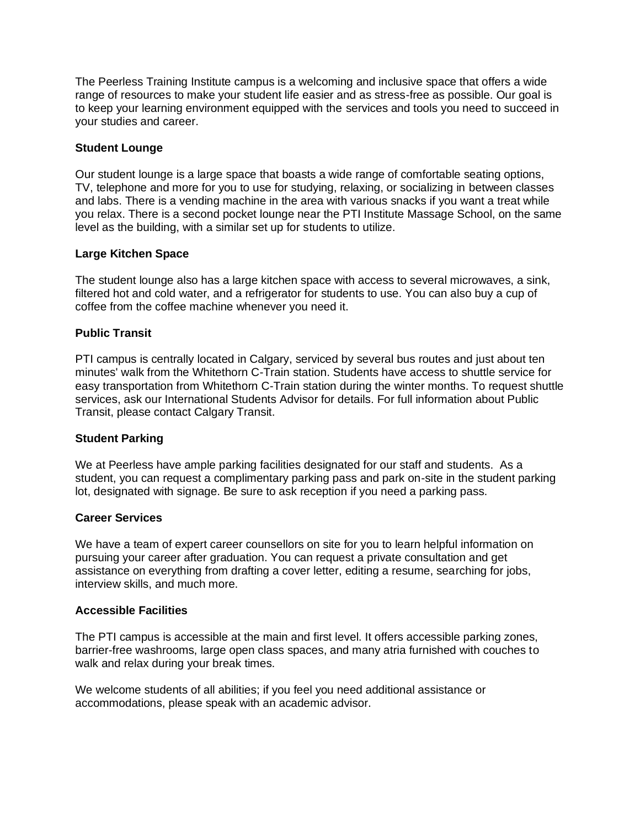The Peerless Training Institute campus is a welcoming and inclusive space that offers a wide range of resources to make your student life easier and as stress-free as possible. Our goal is to keep your learning environment equipped with the services and tools you need to succeed in your studies and career.

# **Student Lounge**

Our student lounge is a large space that boasts a wide range of comfortable seating options, TV, telephone and more for you to use for studying, relaxing, or socializing in between classes and labs. There is a vending machine in the area with various snacks if you want a treat while you relax. There is a second pocket lounge near the PTI Institute Massage School, on the same level as the building, with a similar set up for students to utilize.

# **Large Kitchen Space**

The student lounge also has a large kitchen space with access to several microwaves, a sink, filtered hot and cold water, and a refrigerator for students to use. You can also buy a cup of coffee from the coffee machine whenever you need it.

# **Public Transit**

PTI campus is centrally located in Calgary, serviced by several bus routes and just about ten minutes' walk from the Whitethorn C-Train station. Students have access to shuttle service for easy transportation from Whitethorn C-Train station during the winter months. To request shuttle services, ask our International Students Advisor for details. For full information about Public Transit, please contact Calgary Transit.

#### **Student Parking**

We at Peerless have ample parking facilities designated for our staff and students. As a student, you can request a complimentary parking pass and park on-site in the student parking lot, designated with signage. Be sure to ask reception if you need a parking pass.

#### **Career Services**

We have a team of expert career counsellors on site for you to learn helpful information on pursuing your career after graduation. You can request a private consultation and get assistance on everything from drafting a cover letter, editing a resume, searching for jobs, interview skills, and much more.

#### **Accessible Facilities**

The PTI campus is accessible at the main and first level. It offers accessible parking zones, barrier-free washrooms, large open class spaces, and many atria furnished with couches to walk and relax during your break times.

We welcome students of all abilities; if you feel you need additional assistance or accommodations, please speak with an academic advisor.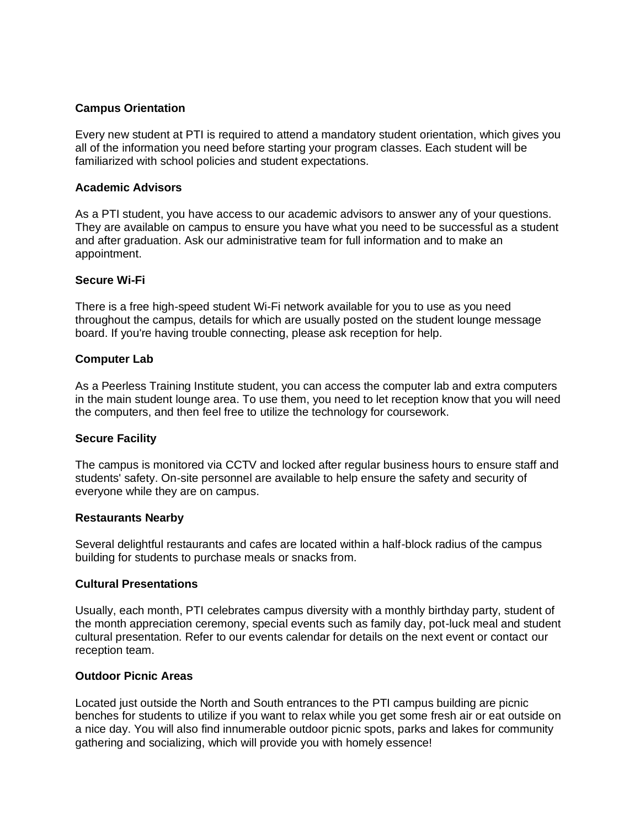# **Campus Orientation**

Every new student at PTI is required to attend a mandatory student orientation, which gives you all of the information you need before starting your program classes. Each student will be familiarized with school policies and student expectations.

### **Academic Advisors**

As a PTI student, you have access to our academic advisors to answer any of your questions. They are available on campus to ensure you have what you need to be successful as a student and after graduation. Ask our administrative team for full information and to make an appointment.

#### **Secure Wi-Fi**

There is a free high-speed student Wi-Fi network available for you to use as you need throughout the campus, details for which are usually posted on the student lounge message board. If you're having trouble connecting, please ask reception for help.

# **Computer Lab**

As a Peerless Training Institute student, you can access the computer lab and extra computers in the main student lounge area. To use them, you need to let reception know that you will need the computers, and then feel free to utilize the technology for coursework.

#### **Secure Facility**

The campus is monitored via CCTV and locked after regular business hours to ensure staff and students' safety. On-site personnel are available to help ensure the safety and security of everyone while they are on campus.

#### **Restaurants Nearby**

Several delightful restaurants and cafes are located within a half-block radius of the campus building for students to purchase meals or snacks from.

#### **Cultural Presentations**

Usually, each month, PTI celebrates campus diversity with a monthly birthday party, student of the month appreciation ceremony, special events such as family day, pot-luck meal and student cultural presentation. Refer to our events calendar for details on the next event or contact our reception team.

#### **Outdoor Picnic Areas**

Located just outside the North and South entrances to the PTI campus building are picnic benches for students to utilize if you want to relax while you get some fresh air or eat outside on a nice day. You will also find innumerable outdoor picnic spots, parks and lakes for community gathering and socializing, which will provide you with homely essence!